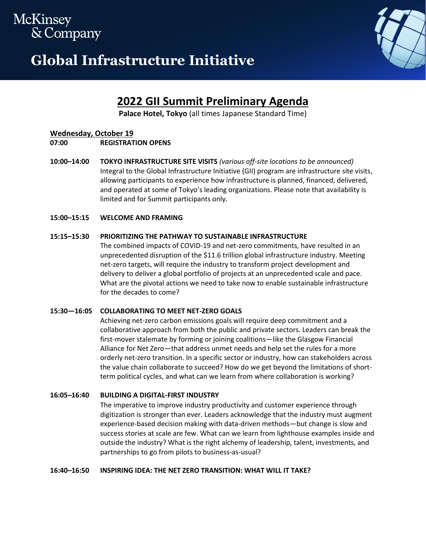# McKinsey & Company

# **Global Infrastructure Initiative**



# **2022 GII Summit Preliminary Agenda**

**Palace Hotel, Tokyo** (all times Japanese Standard Time)

# **Wednesday, October 19**

**07:00 REGISTRATION OPENS**

**10:00–14:00 TOKYO INFRASTRUCTURE SITE VISITS** *(various off-site locations to be announced)* Integral to the Global Infrastructure Initiative (GII) program are infrastructure site visits, allowing participants to experience how infrastructure is planned, financed, delivered, and operated at some of Tokyo's leading organizations. Please note that availability is limited and for Summit participants only.

# **15:00–15:15 WELCOME AND FRAMING**

# **15:15–15:30 PRIORITIZING THE PATHWAY TO SUSTAINABLE INFRASTRUCTURE**

The combined impacts of COVID-19 and net-zero commitments, have resulted in an unprecedented disruption of the \$11.6 trillion global infrastructure industry. Meeting net-zero targets, will require the industry to transform project development and delivery to deliver a global portfolio of projects at an unprecedented scale and pace. What are the pivotal actions we need to take now to enable sustainable infrastructure for the decades to come?

# **15:30—16:05 COLLABORATING TO MEET NET-ZERO GOALS**

Achieving net-zero carbon emissions goals will require deep commitment and a collaborative approach from both the public and private sectors. Leaders can break the first-mover stalemate by forming or joining coalitions—like the Glasgow Financial Alliance for Net Zero—that address unmet needs and help set the rules for a more orderly net-zero transition. In a specific sector or industry, how can stakeholders across the value chain collaborate to succeed? How do we get beyond the limitations of shortterm political cycles, and what can we learn from where collaboration is working?

# **16:05–16:40 BUILDING A DIGITAL-FIRST INDUSTRY**

The imperative to improve industry productivity and customer experience through digitization is stronger than ever. Leaders acknowledge that the industry must augment experience-based decision making with data-driven methods—but change is slow and success stories at scale are few. What can we learn from lighthouse examples inside and outside the industry? What is the right alchemy of leadership, talent, investments, and partnerships to go from pilots to business-as-usual?

# **16:40–16:50 INSPIRING IDEA: THE NET ZERO TRANSITION: WHAT WILL IT TAKE?**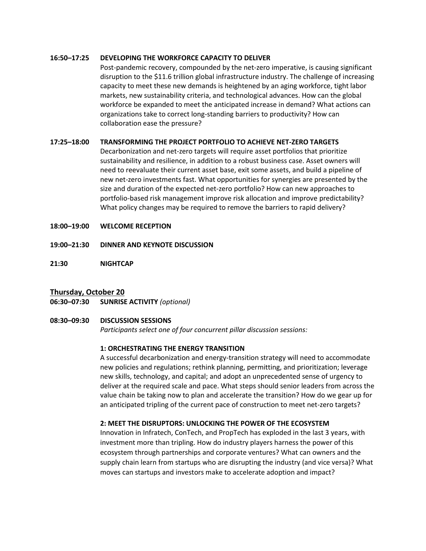#### **16:50–17:25 DEVELOPING THE WORKFORCE CAPACITY TO DELIVER**

Post-pandemic recovery, compounded by the net-zero imperative, is causing significant disruption to the \$11.6 trillion global infrastructure industry. The challenge of increasing capacity to meet these new demands is heightened by an aging workforce, tight labor markets, new sustainability criteria, and technological advances. How can the global workforce be expanded to meet the anticipated increase in demand? What actions can organizations take to correct long-standing barriers to productivity? How can collaboration ease the pressure?

#### **17:25–18:00 TRANSFORMING THE PROJECT PORTFOLIO TO ACHIEVE NET-ZERO TARGETS**

Decarbonization and net-zero targets will require asset portfolios that prioritize sustainability and resilience, in addition to a robust business case. Asset owners will need to reevaluate their current asset base, exit some assets, and build a pipeline of new net-zero investments fast. What opportunities for synergies are presented by the size and duration of the expected net-zero portfolio? How can new approaches to portfolio-based risk management improve risk allocation and improve predictability? What policy changes may be required to remove the barriers to rapid delivery?

- **18:00–19:00 WELCOME RECEPTION**
- **19:00–21:30 DINNER AND KEYNOTE DISCUSSION**
- **21:30 NIGHTCAP**

# **Thursday, October 20**

**06:30–07:30 SUNRISE ACTIVITY** *(optional)* 

#### **08:30–09:30 DISCUSSION SESSIONS**

*Participants select one of four concurrent pillar discussion sessions:*

#### **1: ORCHESTRATING THE ENERGY TRANSITION**

A successful decarbonization and energy-transition strategy will need to accommodate new policies and regulations; rethink planning, permitting, and prioritization; leverage new skills, technology, and capital; and adopt an unprecedented sense of urgency to deliver at the required scale and pace. What steps should senior leaders from across the value chain be taking now to plan and accelerate the transition? How do we gear up for an anticipated tripling of the current pace of construction to meet net-zero targets?

# **2: MEET THE DISRUPTORS: UNLOCKING THE POWER OF THE ECOSYSTEM**

Innovation in Infratech, ConTech, and PropTech has exploded in the last 3 years, with investment more than tripling. How do industry players harness the power of this ecosystem through partnerships and corporate ventures? What can owners and the supply chain learn from startups who are disrupting the industry (and vice versa)? What moves can startups and investors make to accelerate adoption and impact?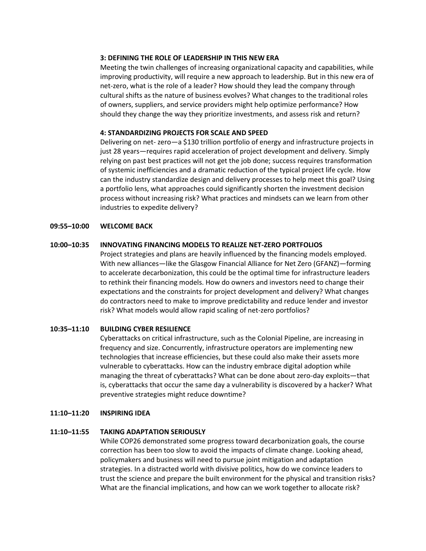#### **3: DEFINING THE ROLE OF LEADERSHIP IN THIS NEW ERA**

Meeting the twin challenges of increasing organizational capacity and capabilities, while improving productivity, will require a new approach to leadership. But in this new era of net-zero, what is the role of a leader? How should they lead the company through cultural shifts as the nature of business evolves? What changes to the traditional roles of owners, suppliers, and service providers might help optimize performance? How should they change the way they prioritize investments, and assess risk and return?

#### **4: STANDARDIZING PROJECTS FOR SCALE AND SPEED**

Delivering on net- zero—a \$130 trillion portfolio of energy and infrastructure projects in just 28 years—requires rapid acceleration of project development and delivery. Simply relying on past best practices will not get the job done; success requires transformation of systemic inefficiencies and a dramatic reduction of the typical project life cycle. How can the industry standardize design and delivery processes to help meet this goal? Using a portfolio lens, what approaches could significantly shorten the investment decision process without increasing risk? What practices and mindsets can we learn from other industries to expedite delivery?

#### **09:55–10:00 WELCOME BACK**

#### **10:00–10:35 INNOVATING FINANCING MODELS TO REALIZE NET-ZERO PORTFOLIOS**

Project strategies and plans are heavily influenced by the financing models employed. With new alliances—like the Glasgow Financial Alliance for Net Zero (GFANZ)—forming to accelerate decarbonization, this could be the optimal time for infrastructure leaders to rethink their financing models. How do owners and investors need to change their expectations and the constraints for project development and delivery? What changes do contractors need to make to improve predictability and reduce lender and investor risk? What models would allow rapid scaling of net-zero portfolios?

# **10:35–11:10 BUILDING CYBER RESILIENCE**

Cyberattacks on critical infrastructure, such as the Colonial Pipeline, are increasing in frequency and size. Concurrently, infrastructure operators are implementing new technologies that increase efficiencies, but these could also make their assets more vulnerable to cyberattacks. How can the industry embrace digital adoption while managing the threat of cyberattacks? What can be done about zero-day exploits—that is, cyberattacks that occur the same day a vulnerability is discovered by a hacker? What preventive strategies might reduce downtime?

#### **11:10–11:20 INSPIRING IDEA**

#### **11:10–11:55 TAKING ADAPTATION SERIOUSLY**

While COP26 demonstrated some progress toward decarbonization goals, the course correction has been too slow to avoid the impacts of climate change. Looking ahead, policymakers and business will need to pursue joint mitigation and adaptation strategies. In a distracted world with divisive politics, how do we convince leaders to trust the science and prepare the built environment for the physical and transition risks? What are the financial implications, and how can we work together to allocate risk?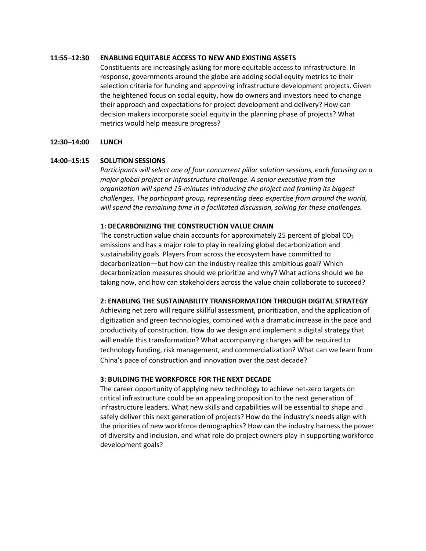#### **11:55–12:30 ENABLING EQUITABLE ACCESS TO NEW AND EXISTING ASSETS**

Constituents are increasingly asking for more equitable access to infrastructure. In response, governments around the globe are adding social equity metrics to their selection criteria for funding and approving infrastructure development projects. Given the heightened focus on social equity, how do owners and investors need to change their approach and expectations for project development and delivery? How can decision makers incorporate social equity in the planning phase of projects? What metrics would help measure progress?

#### **12:30–14:00 LUNCH**

#### **14:00–15:15 SOLUTION SESSIONS**

*Participants will select one of four concurrent pillar solution sessions, each focusing on a major global project or infrastructure challenge. A senior executive from the organization will spend 15-minutes introducing the project and framing its biggest challenges. The participant group, representing deep expertise from around the world, will spend the remaining time in a facilitated discussion, solving for these challenges.*

#### **1: DECARBONIZING THE CONSTRUCTION VALUE CHAIN**

The construction value chain accounts for approximately 25 percent of global  $CO<sub>2</sub>$ emissions and has a major role to play in realizing global decarbonization and sustainability goals. Players from across the ecosystem have committed to decarbonization—but how can the industry realize this ambitious goal? Which decarbonization measures should we prioritize and why? What actions should we be taking now, and how can stakeholders across the value chain collaborate to succeed?

#### **2: ENABLING THE SUSTAINABILITY TRANSFORMATION THROUGH DIGITAL STRATEGY**

Achieving net zero will require skillful assessment, prioritization, and the application of digitization and green technologies, combined with a dramatic increase in the pace and productivity of construction. How do we design and implement a digital strategy that will enable this transformation? What accompanying changes will be required to technology funding, risk management, and commercialization? What can we learn from China's pace of construction and innovation over the past decade?

#### **3: BUILDING THE WORKFORCE FOR THE NEXT DECADE**

The career opportunity of applying new technology to achieve net-zero targets on critical infrastructure could be an appealing proposition to the next generation of infrastructure leaders. What new skills and capabilities will be essential to shape and safely deliver this next generation of projects? How do the industry's needs align with the priorities of new workforce demographics? How can the industry harness the power of diversity and inclusion, and what role do project owners play in supporting workforce development goals?